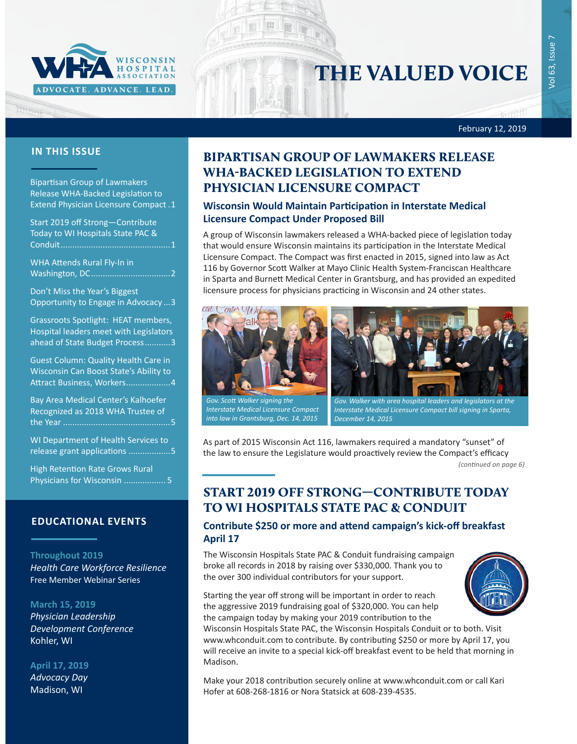

# THE VALUED VOICE

/ol 63, Issue 7 Vol 63, Issue 7

February 12, 2019

### **IN THIS ISSUE**

Bipartisan Group of Lawmakers Release WHA-Backed Legislation to Extend Physician Licensure Compact .1

Start 2019 off Strong—Contribute Today to WI Hospitals State PAC & Conduit...............................................1

[WHA Attends Rural Fly-In in](#page-1-0)  Washington, DC[..................................2](#page-1-0)

[Don't Miss the Year's Biggest](#page-2-0)  [Opportunity to Engage in Advocacy](#page-2-0) ...3

[Grassroots Spotlight: HEAT members,](#page-2-0)  [Hospital leaders meet with Legislators](#page-2-0)  [ahead of State Budget Process](#page-2-0)...........3

[Guest Column: Quality Health Care in](#page-3-0)  [Wisconsin Can Boost State's Ability to](#page-3-0)  [Attract Business, Workers](#page-3-0)...................4

[Bay Area Medical Center's Kalhoefer](#page-4-0)  [Recognized as 2018 WHA Trustee of](#page-4-0)  the Year [..............................................5](#page-4-0)

[WI Department of Health Services to](#page-4-0)  [release grant applications](#page-4-0) ..................5

[High Retention Rate Grows Rural](#page-4-0)  [Physicians for Wisconsin](#page-4-0) .................. 5

### **EDUCATIONAL EVENTS**

#### **Throughout 2019**

*[Health Care Workforce Resilience](http://www.whareg4.org/WorkforceResilience/)* Free Member Webinar Series

#### **March 15, 2019**

*[Physician Leadership](http://www.cvent.com/events/19l-pldc-03-15-16/event-summary-cce6c95196974bcc87660b15b6e87c43.aspx)  [Development Conference](http://www.cvent.com/events/19l-pldc-03-15-16/event-summary-cce6c95196974bcc87660b15b6e87c43.aspx)* Kohler, WI

#### **April 17, 2019**

*[Advocacy Day](http://www.whareg4.org/AdvocacyDay2019/)* Madison, WI

### BIPARTISAN GROUP OF LAWMAKERS RELEASE WHA-BACKED LEGISLATION TO EXTEND PHYSICIAN LICENSURE COMPACT

### **Wisconsin Would Maintain Participation in Interstate Medical Licensure Compact Under Proposed Bill**

A group of Wisconsin lawmakers released a WHA-backed piece of legislation today that would ensure Wisconsin maintains its participation in the Interstate Medical Licensure Compact. The Compact was first enacted in 2015, signed into law as Act 116 by Governor Scott Walker at Mayo Clinic Health System-Franciscan Healthcare in Sparta and Burnett Medical Center in Grantsburg, and has provided an expedited licensure process for physicians practicing in Wisconsin and 24 other states.





*Gov. Scott Walker signing the Interstate Medical Licensure Compact into law in Grantsburg, Dec. 14, 2015*

*Gov. Walker with area hospital leaders and legislators at the Interstate Medical Licensure Compact bill signing in Sparta, December 14, 2015*

As part of 2015 Wisconsin Act 116, lawmakers required a mandatory "sunset" of the law to ensure the Legislature would proactively review the Compact's efficacy

*(continued on page 6)*

### START 2019 OFF STRONG—CONTRIBUTE TODAY TO WI HOSPITALS STATE PAC & CONDUIT

### **Contribute \$250 or more and attend campaign's kick-off breakfast April 17**

The Wisconsin Hospitals State PAC & Conduit fundraising campaign broke all records in 2018 by raising over \$330,000. Thank you to the over 300 individual contributors for your support.



Starting the year off strong will be important in order to reach the aggressive 2019 fundraising goal of \$320,000. You can help the campaign today by making your 2019 contribution to the

Wisconsin Hospitals State PAC, the Wisconsin Hospitals Conduit or to both. Visit www.whconduit.com to contribute. By contributing \$250 or more by April 17, you will receive an invite to a special kick-off breakfast event to be held that morning in Madison.

Make your 2018 contribution securely online at www.whconduit.com or call Kari Hofer at 608-268-1816 or Nora Statsick at 608-239-4535.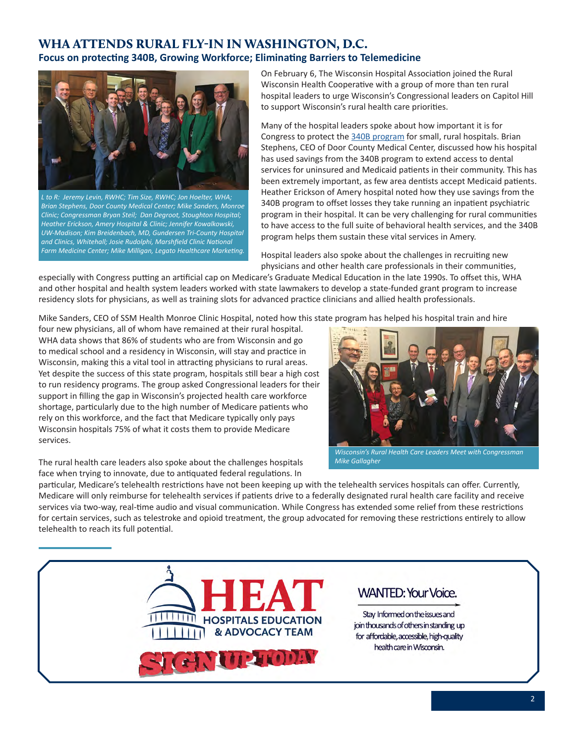### <span id="page-1-0"></span>WHA ATTENDS RURAL FLY-IN IN WASHINGTON, D.C. **Focus on protecting 340B, Growing Workforce; Eliminating Barriers to Telemedicine**



*L to R: Jeremy Levin, RWHC; Tim Size, RWHC; Jon Hoelter, WHA; Brian Stephens, Door County Medical Center; Mike Sanders, Monroe Clinic; Congressman Bryan Steil; Dan Degroot, Stoughton Hospital; Heather Erickson, Amery Hospital & Clinic; Jennifer Kowalkowski, UW-Madison; Kim Breidenbach, MD, Gundersen Tri-County Hospital and Clinics, Whitehall; Josie Rudolphi, Marshfield Clinic National Farm Medicine Center; Mike Milligan, Legato Healthcare Marketing.*

On February 6, The Wisconsin Hospital Association joined the Rural Wisconsin Health Cooperative with a group of more than ten rural hospital leaders to urge Wisconsin's Congressional leaders on Capitol Hill to support Wisconsin's rural health care priorities.

Many of the hospital leaders spoke about how important it is for Congress to protect the [340B program](www.wha.org/WisconsinHospitalAssociation/media/WHACommon/Government%20Relations/pdf/340BIssuePaper2-6-19.pdf) for small, rural hospitals. Brian Stephens, CEO of Door County Medical Center, discussed how his hospital has used savings from the 340B program to extend access to dental services for uninsured and Medicaid patients in their community. This has been extremely important, as few area dentists accept Medicaid patients. Heather Erickson of Amery hospital noted how they use savings from the 340B program to offset losses they take running an inpatient psychiatric program in their hospital. It can be very challenging for rural communities to have access to the full suite of behavioral health services, and the 340B program helps them sustain these vital services in Amery.

Hospital leaders also spoke about the challenges in recruiting new physicians and other health care professionals in their communities,

especially with Congress putting an artificial cap on Medicare's Graduate Medical Education in the late 1990s. To offset this, WHA and other hospital and health system leaders worked with state lawmakers to develop a state-funded grant program to increase residency slots for physicians, as well as training slots for advanced practice clinicians and allied health professionals.

Mike Sanders, CEO of SSM Health Monroe Clinic Hospital, noted how this state program has helped his hospital train and hire

four new physicians, all of whom have remained at their rural hospital. WHA data shows that 86% of students who are from Wisconsin and go to medical school and a residency in Wisconsin, will stay and practice in Wisconsin, making this a vital tool in attracting physicians to rural areas. Yet despite the success of this state program, hospitals still bear a high cost to run residency programs. The group asked Congressional leaders for their support in filling the gap in Wisconsin's projected health care workforce shortage, particularly due to the high number of Medicare patients who rely on this workforce, and the fact that Medicare typically only pays Wisconsin hospitals 75% of what it costs them to provide Medicare services.



*Wisconsin's Rural Health Care Leaders Meet with Congressman Mike Gallagher*

The rural health care leaders also spoke about the challenges hospitals face when trying to innovate, due to antiquated federal regulations. In

particular, Medicare's telehealth restrictions have not been keeping up with the telehealth services hospitals can offer. Currently, Medicare will only reimburse for telehealth services if patients drive to a federally designated rural health care facility and receive services via two-way, real-time audio and visual communication. While Congress has extended some relief from these restrictions for certain services, such as telestroke and opioid treatment, the group advocated for removing these restrictions entirely to allow telehealth to reach its full potential.

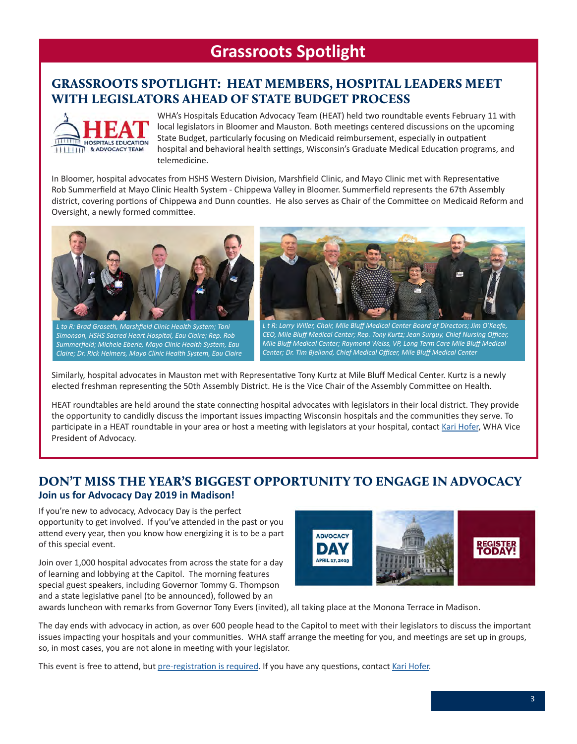## **Grassroots Spotlight**

### <span id="page-2-0"></span>GRASSROOTS SPOTLIGHT: HEAT MEMBERS, HOSPITAL LEADERS MEET WITH LEGISLATORS AHEAD OF STATE BUDGET PROCESS



WHA's Hospitals Education Advocacy Team (HEAT) held two roundtable events February 11 with local legislators in Bloomer and Mauston. Both meetings centered discussions on the upcoming State Budget, particularly focusing on Medicaid reimbursement, especially in outpatient hospital and behavioral health settings, Wisconsin's Graduate Medical Education programs, and telemedicine.

In Bloomer, hospital advocates from HSHS Western Division, Marshfield Clinic, and Mayo Clinic met with Representative Rob Summerfield at Mayo Clinic Health System - Chippewa Valley in Bloomer. Summerfield represents the 67th Assembly district, covering portions of Chippewa and Dunn counties. He also serves as Chair of the Committee on Medicaid Reform and Oversight, a newly formed committee.



*L to R: Brad Groseth, Marshfield Clinic Health System; Toni Simonson, HSHS Sacred Heart Hospital, Eau Claire; Rep. Rob Summerfield; Michele Eberle, Mayo Clinic Health System, Eau Claire; Dr. Rick Helmers, Mayo Clinic Health System, Eau Claire*



*L t R: Larry Willer, Chair, Mile Bluff Medical Center Board of Directors; Jim O'Keefe, CEO, Mile Bluff Medical Center; Rep. Tony Kurtz; Jean Surguy, Chief Nursing Officer, Mile Bluff Medical Center; Raymond Weiss, VP, Long Term Care Mile Bluff Medical Center; Dr. Tim Bjelland, Chief Medical Officer, Mile Bluff Medical Center*

Similarly, hospital advocates in Mauston met with Representative Tony Kurtz at Mile Bluff Medical Center. Kurtz is a newly elected freshman representing the 50th Assembly District. He is the Vice Chair of the Assembly Committee on Health.

HEAT roundtables are held around the state connecting hospital advocates with legislators in their local district. They provide the opportunity to candidly discuss the important issues impacting Wisconsin hospitals and the communities they serve. To participate in a HEAT roundtable in your area or host a meeting with legislators at your hospital, contact [Kari Hofer](mailto:khofer@wha.org), WHA Vice President of Advocacy.

### DON'T MISS THE YEAR'S BIGGEST OPPORTUNITY TO ENGAGE IN ADVOCACY **Join us for Advocacy Day 2019 in Madison!**

If you're new to advocacy, Advocacy Day is the perfect opportunity to get involved. If you've attended in the past or you attend every year, then you know how energizing it is to be a part of this special event.

Join over 1,000 hospital advocates from across the state for a day of learning and lobbying at the Capitol. The morning features special guest speakers, including Governor Tommy G. Thompson and a state legislative panel (to be announced), followed by an



awards luncheon with remarks from Governor Tony Evers (invited), all taking place at the Monona Terrace in Madison.

The day ends with advocacy in action, as over 600 people head to the Capitol to meet with their legislators to discuss the important issues impacting your hospitals and your communities. WHA staff arrange the meeting for you, and meetings are set up in groups, so, in most cases, you are not alone in meeting with your legislator.

This event is free to attend, but [pre-registration is required](http://www.whareg4.org/AdvocacyDay2019/). If you have any questions, contact [Kari Hofer](mailto:khofer@wha.org).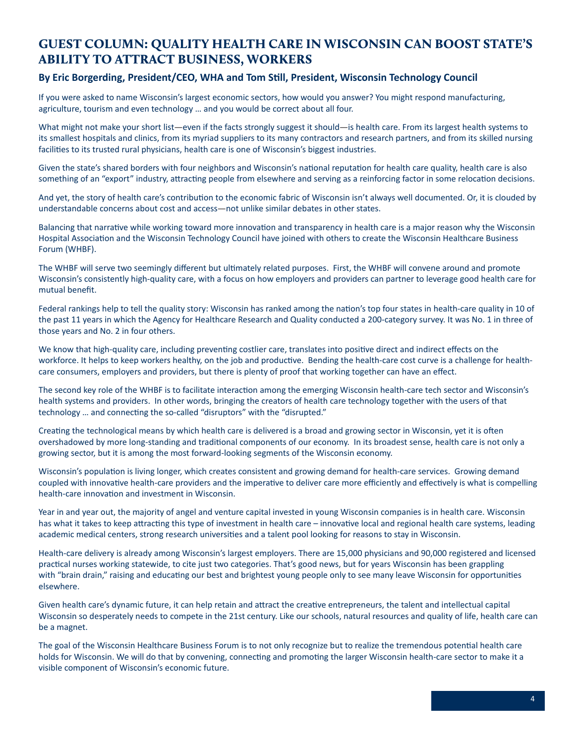### <span id="page-3-0"></span>GUEST COLUMN: QUALITY HEALTH CARE IN WISCONSIN CAN BOOST STATE'S ABILITY TO ATTRACT BUSINESS, WORKERS

### **By Eric Borgerding, President/CEO, WHA and Tom Still, President, Wisconsin Technology Council**

If you were asked to name Wisconsin's largest economic sectors, how would you answer? You might respond manufacturing, agriculture, tourism and even technology … and you would be correct about all four.

What might not make your short list—even if the facts strongly suggest it should—is health care. From its largest health systems to its smallest hospitals and clinics, from its myriad suppliers to its many contractors and research partners, and from its skilled nursing facilities to its trusted rural physicians, health care is one of Wisconsin's biggest industries.

Given the state's shared borders with four neighbors and Wisconsin's national reputation for health care quality, health care is also something of an "export" industry, attracting people from elsewhere and serving as a reinforcing factor in some relocation decisions.

And yet, the story of health care's contribution to the economic fabric of Wisconsin isn't always well documented. Or, it is clouded by understandable concerns about cost and access—not unlike similar debates in other states.

Balancing that narrative while working toward more innovation and transparency in health care is a major reason why the Wisconsin Hospital Association and the Wisconsin Technology Council have joined with others to create the Wisconsin Healthcare Business Forum (WHBF).

The WHBF will serve two seemingly different but ultimately related purposes. First, the WHBF will convene around and promote Wisconsin's consistently high-quality care, with a focus on how employers and providers can partner to leverage good health care for mutual benefit.

Federal rankings help to tell the quality story: Wisconsin has ranked among the nation's top four states in health-care quality in 10 of the past 11 years in which the Agency for Healthcare Research and Quality conducted a 200-category survey. It was No. 1 in three of those years and No. 2 in four others.

We know that high-quality care, including preventing costlier care, translates into positive direct and indirect effects on the workforce. It helps to keep workers healthy, on the job and productive. Bending the health-care cost curve is a challenge for healthcare consumers, employers and providers, but there is plenty of proof that working together can have an effect.

The second key role of the WHBF is to facilitate interaction among the emerging Wisconsin health-care tech sector and Wisconsin's health systems and providers. In other words, bringing the creators of health care technology together with the users of that technology … and connecting the so-called "disruptors" with the "disrupted."

Creating the technological means by which health care is delivered is a broad and growing sector in Wisconsin, yet it is often overshadowed by more long-standing and traditional components of our economy. In its broadest sense, health care is not only a growing sector, but it is among the most forward-looking segments of the Wisconsin economy.

Wisconsin's population is living longer, which creates consistent and growing demand for health-care services. Growing demand coupled with innovative health-care providers and the imperative to deliver care more efficiently and effectively is what is compelling health-care innovation and investment in Wisconsin.

Year in and year out, the majority of angel and venture capital invested in young Wisconsin companies is in health care. Wisconsin has what it takes to keep attracting this type of investment in health care – innovative local and regional health care systems, leading academic medical centers, strong research universities and a talent pool looking for reasons to stay in Wisconsin.

Health-care delivery is already among Wisconsin's largest employers. There are 15,000 physicians and 90,000 registered and licensed practical nurses working statewide, to cite just two categories. That's good news, but for years Wisconsin has been grappling with "brain drain," raising and educating our best and brightest young people only to see many leave Wisconsin for opportunities elsewhere.

Given health care's dynamic future, it can help retain and attract the creative entrepreneurs, the talent and intellectual capital Wisconsin so desperately needs to compete in the 21st century. Like our schools, natural resources and quality of life, health care can be a magnet.

The goal of the Wisconsin Healthcare Business Forum is to not only recognize but to realize the tremendous potential health care holds for Wisconsin. We will do that by convening, connecting and promoting the larger Wisconsin health-care sector to make it a visible component of Wisconsin's economic future.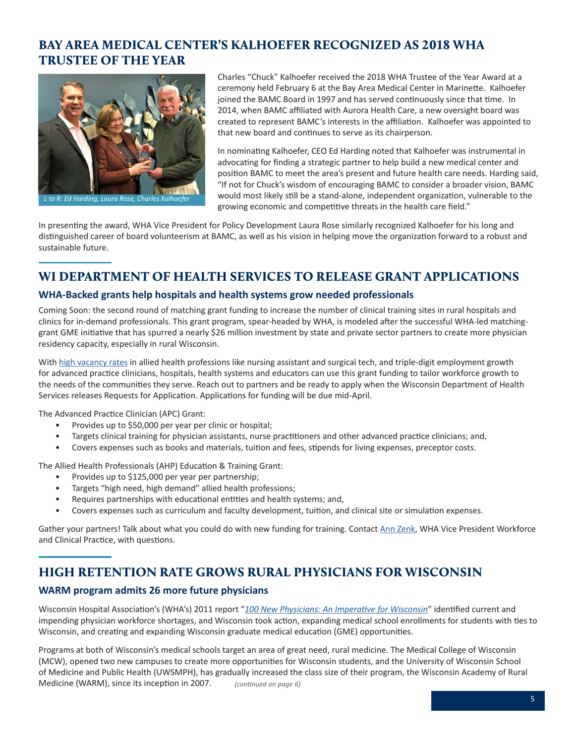### <span id="page-4-0"></span>BAY AREA MEDICAL CENTER'S KALHOEFER RECOGNIZED AS 2018 WHA TRUSTEE OF THE YEAR



Charles "Chuck" Kalhoefer received the 2018 WHA Trustee of the Year Award at a ceremony held February 6 at the Bay Area Medical Center in Marinette. Kalhoefer joined the BAMC Board in 1997 and has served continuously since that time. In 2014, when BAMC affiliated with Aurora Health Care, a new oversight board was created to represent BAMC's interests in the affiliation. Kalhoefer was appointed to that new board and continues to serve as its chairperson.

In nominating Kalhoefer, CEO Ed Harding noted that Kalhoefer was instrumental in advocating for finding a strategic partner to help build a new medical center and position BAMC to meet the area's present and future health care needs. Harding said, "If not for Chuck's wisdom of encouraging BAMC to consider a broader vision, BAMC would most likely still be a stand-alone, independent organization, vulnerable to the growing economic and competitive threats in the health care field."

In presenting the award, WHA Vice President for Policy Development Laura Rose similarly recognized Kalhoefer for his long and distinguished career of board volunteerism at BAMC, as well as his vision in helping move the organization forward to a robust and sustainable future.

### WI DEPARTMENT OF HEALTH SERVICES TO RELEASE GRANT APPLICATIONS

### **WHA-Backed grants help hospitals and health systems grow needed professionals**

Coming Soon: the second round of matching grant funding to increase the number of clinical training sites in rural hospitals and clinics for in-demand professionals. This grant program, spear-headed by WHA, is modeled after the successful WHA-led matchinggrant GME initiative that has spurred a nearly \$26 million investment by state and private sector partners to create more physician residency capacity, especially in rural Wisconsin.

With [high vacancy rates](https://www.wha.org/WisconsinHospitalAssociation/media/WHA-Reports/2018_Workforce_Report.pdf) in allied health professions like nursing assistant and surgical tech, and triple-digit employment growth for advanced practice clinicians, hospitals, health systems and educators can use this grant funding to tailor workforce growth to the needs of the communities they serve. Reach out to partners and be ready to apply when the Wisconsin Department of Health Services releases Requests for Application. Applications for funding will be due mid-April.

The Advanced Practice Clinician (APC) Grant:

- Provides up to \$50,000 per year per clinic or hospital;
- Targets clinical training for physician assistants, nurse practitioners and other advanced practice clinicians; and,
- Covers expenses such as books and materials, tuition and fees, stipends for living expenses, preceptor costs.

The Allied Health Professionals (AHP) Education & Training Grant:

- Provides up to \$125,000 per year per partnership;
- Targets "high need, high demand" allied health professions;
- Requires partnerships with educational entities and health systems; and,
- Covers expenses such as curriculum and faculty development, tuition, and clinical site or simulation expenses.

Gather your partners! Talk about what you could do with new funding for training. Contact [Ann Zenk,](mailto:azenk@wha.org) WHA Vice President Workforce and Clinical Practice, with questions.

### HIGH RETENTION RATE GROWS RURAL PHYSICIANS FOR WISCONSIN

### **WARM program admits 26 more future physicians**

Wisconsin Hospital Association's (WHA's) 2011 report "*[100 New Physicians: An Imperative for Wisconsin](https://www.wha.org/WisconsinHospitalAssociation/media/WHA-Reports/2011physicianreport.pdf)*" identified current and impending physician workforce shortages, and Wisconsin took action, expanding medical school enrollments for students with ties to Wisconsin, and creating and expanding Wisconsin graduate medical education (GME) opportunities.

Programs at both of Wisconsin's medical schools target an area of great need, rural medicine. The Medical College of Wisconsin (MCW), opened two new campuses to create more opportunities for Wisconsin students, and the University of Wisconsin School of Medicine and Public Health (UWSMPH), has gradually increased the class size of their program, the Wisconsin Academy of Rural Medicine (WARM), since its inception in 2007. *(continued on page 6)*